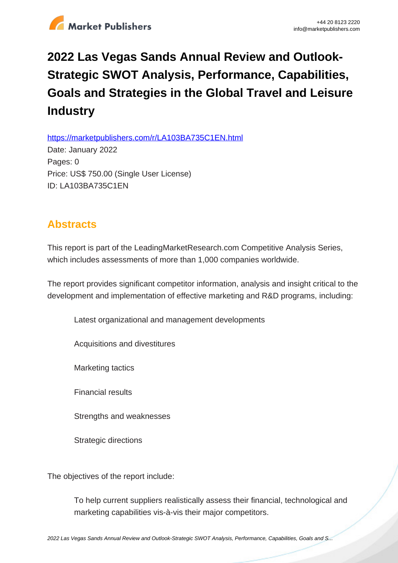

## **2022 Las Vegas Sands Annual Review and Outlook-Strategic SWOT Analysis, Performance, Capabilities, Goals and Strategies in the Global Travel and Leisure Industry**

https://marketpublishers.com/r/LA103BA735C1EN.html

Date: January 2022 Pages: 0 Price: US\$ 750.00 (Single User License) ID: LA103BA735C1EN

## **Abstracts**

This report is part of the LeadingMarketResearch.com Competitive Analysis Series, which includes assessments of more than 1,000 companies worldwide.

The report provides significant competitor information, analysis and insight critical to the development and implementation of effective marketing and R&D programs, including:

Latest organizational and management developments

Acquisitions and divestitures

Marketing tactics

Financial results

Strengths and weaknesses

Strategic directions

The objectives of the report include:

To help current suppliers realistically assess their financial, technological and marketing capabilities vis-à-vis their major competitors.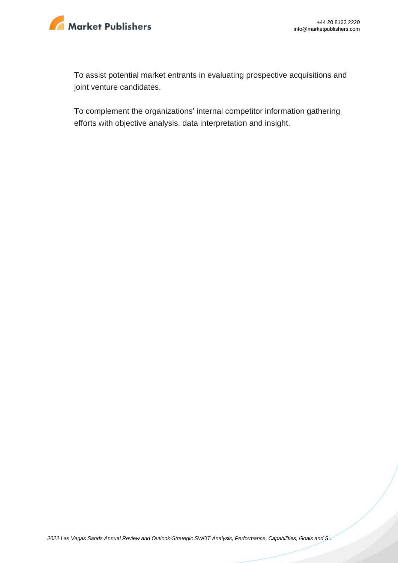

To assist potential market entrants in evaluating prospective acquisitions and joint venture candidates.

To complement the organizations' internal competitor information gathering efforts with objective analysis, data interpretation and insight.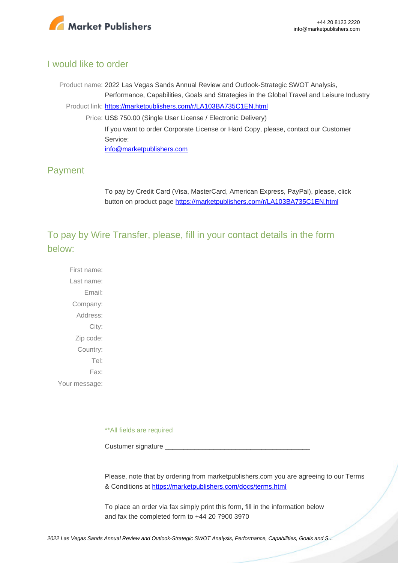

## I would like to order

Product name: 2022 Las Vegas Sands Annual Review and Outlook-Strategic SWOT Analysis, Performance, Capabilities, Goals and Strategies in the Global Travel and Leisure Industry Product link: [https://marketpublishers.com/r/LA103BA735C1EN.html](https://marketpublishers.com/report/services/travel-leisure/las-vegas-sands-annual-review-n-outlook-strategic-swot-analysis-performance-capabilities-goals-n-strategies-in-global-travel-n-leisure-industry.html) Price: US\$ 750.00 (Single User License / Electronic Delivery) If you want to order Corporate License or Hard Copy, please, contact our Customer Service: [info@marketpublishers.com](mailto:info@marketpublishers.com)

## Payment

To pay by Credit Card (Visa, MasterCard, American Express, PayPal), please, click button on product page [https://marketpublishers.com/r/LA103BA735C1EN.html](https://marketpublishers.com/report/services/travel-leisure/las-vegas-sands-annual-review-n-outlook-strategic-swot-analysis-performance-capabilities-goals-n-strategies-in-global-travel-n-leisure-industry.html)

To pay by Wire Transfer, please, fill in your contact details in the form below:

First name: Last name: Email: Company: Address: City: Zip code: Country: Tel: Fax: Your message:

\*\*All fields are required

Custumer signature

Please, note that by ordering from marketpublishers.com you are agreeing to our Terms & Conditions at<https://marketpublishers.com/docs/terms.html>

To place an order via fax simply print this form, fill in the information below and fax the completed form to +44 20 7900 3970